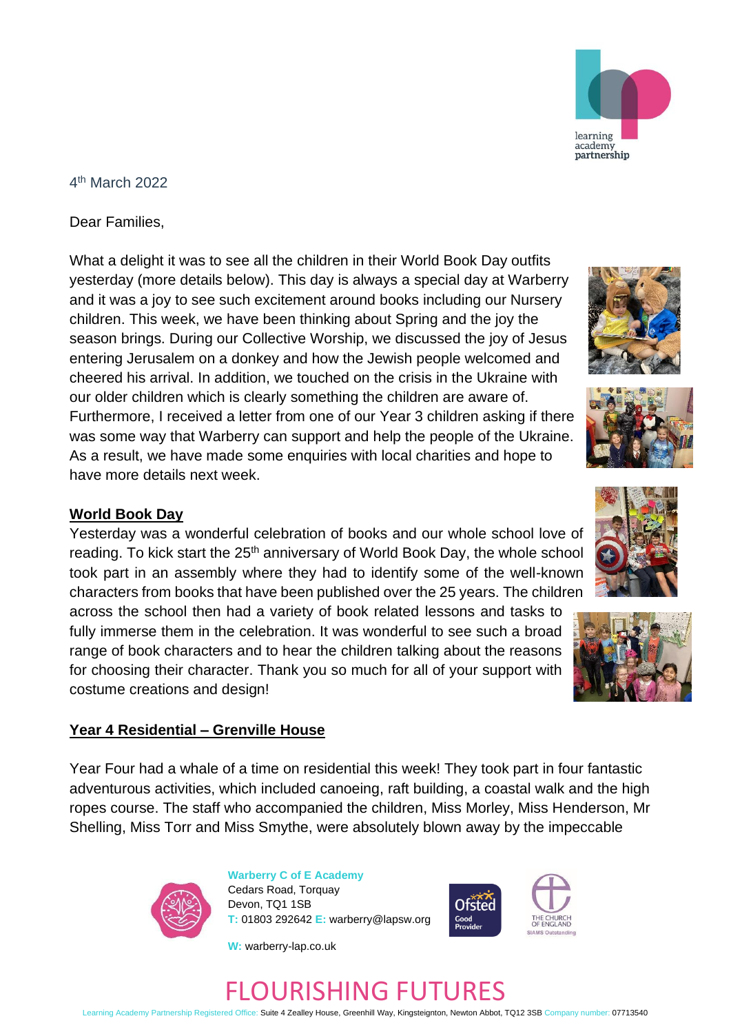

## 4 th March 2022

Dear Families,

What a delight it was to see all the children in their World Book Day outfits yesterday (more details below). This day is always a special day at Warberry and it was a joy to see such excitement around books including our Nursery children. This week, we have been thinking about Spring and the joy the season brings. During our Collective Worship, we discussed the joy of Jesus entering Jerusalem on a donkey and how the Jewish people welcomed and cheered his arrival. In addition, we touched on the crisis in the Ukraine with our older children which is clearly something the children are aware of. Furthermore, I received a letter from one of our Year 3 children asking if there was some way that Warberry can support and help the people of the Ukraine. As a result, we have made some enquiries with local charities and hope to have more details next week.

## **World Book Day**

Yesterday was a wonderful celebration of books and our whole school love of reading. To kick start the 25<sup>th</sup> anniversary of World Book Day, the whole school took part in an assembly where they had to identify some of the well-known characters from books that have been published over the 25 years. The children

across the school then had a variety of book related lessons and tasks to fully immerse them in the celebration. It was wonderful to see such a broad range of book characters and to hear the children talking about the reasons for choosing their character. Thank you so much for all of your support with costume creations and design!

## **Year 4 Residential – Grenville House**

Year Four had a whale of a time on residential this week! They took part in four fantastic adventurous activities, which included canoeing, raft building, a coastal walk and the high ropes course. The staff who accompanied the children, Miss Morley, Miss Henderson, Mr Shelling, Miss Torr and Miss Smythe, were absolutely blown away by the impeccable



**Warberry C of E Academy** Cedars Road, Torquay Devon, TQ1 1SB **T:** 01803 292642 **E:** warberry@lapsw.org

**W:** warberry-lap.co.uk













Learning Academy Partnership Registered Office: Suite 4 Zealley House, Greenhill Way, Kingsteignton, Newton Abbot, TQ12 3SB Company number: 07713540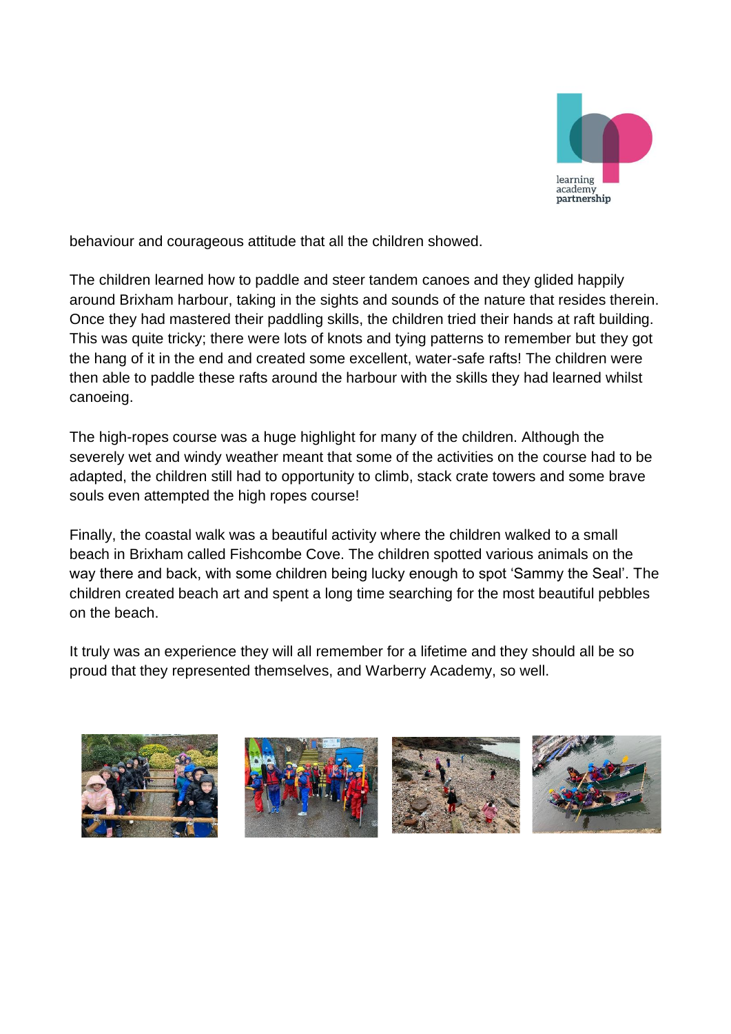

behaviour and courageous attitude that all the children showed.

The children learned how to paddle and steer tandem canoes and they glided happily around Brixham harbour, taking in the sights and sounds of the nature that resides therein. Once they had mastered their paddling skills, the children tried their hands at raft building. This was quite tricky; there were lots of knots and tying patterns to remember but they got the hang of it in the end and created some excellent, water-safe rafts! The children were then able to paddle these rafts around the harbour with the skills they had learned whilst canoeing.

The high-ropes course was a huge highlight for many of the children. Although the severely wet and windy weather meant that some of the activities on the course had to be adapted, the children still had to opportunity to climb, stack crate towers and some brave souls even attempted the high ropes course!

Finally, the coastal walk was a beautiful activity where the children walked to a small beach in Brixham called Fishcombe Cove. The children spotted various animals on the way there and back, with some children being lucky enough to spot 'Sammy the Seal'. The children created beach art and spent a long time searching for the most beautiful pebbles on the beach.

It truly was an experience they will all remember for a lifetime and they should all be so proud that they represented themselves, and Warberry Academy, so well.